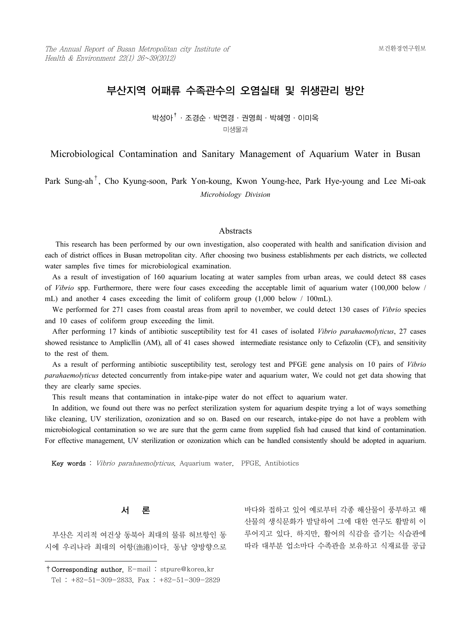# 부산지역 어패류 수족관수의 오염실태 및 위생관리 방안

박성아†·조경순·박연경·권영희·박혜영·이미옥 미생물과

Microbiological Contamination and Sanitary Management of Aquarium Water in Busan

Park Sung-ah†, Cho Kyung-soon, Park Yon-koung, Kwon Young-hee, Park Hye-young and Lee Mi-oak *Microbiology Division*

#### Abstracts

1) This research has been performed by our own investigation, also cooperated with health and sanification division and each of district offices in Busan metropolitan city. After choosing two business establishments per each districts, we collected water samples five times for microbiological examination.

 As a result of investigation of 160 aquarium locating at water samples from urban areas, we could detect 88 cases of *Vibrio* spp. Furthermore, there were four cases exceeding the acceptable limit of aquarium water (100,000 below / mL) and another 4 cases exceeding the limit of coliform group (1,000 below / 100mL).

 We performed for 271 cases from coastal areas from april to november, we could detect 130 cases of *Vibrio* species and 10 cases of coliform group exceeding the limit.

 After performing 17 kinds of antibiotic susceptibility test for 41 cases of isolated *Vibrio parahaemolyticus*, 27 cases showed resistance to Amplicllin (AM), all of 41 cases showed intermediate resistance only to Cefazolin (CF), and sensitivity to the rest of them.

 As a result of performing antibiotic susceptibility test, serology test and PFGE gene analysis on 10 pairs of *Vibrio parahaemolyticus* detected concurrently from intake-pipe water and aquarium water, We could not get data showing that they are clearly same species.

This result means that contamination in intake-pipe water do not effect to aquarium water.

 In addition, we found out there was no perfect sterilization system for aquarium despite trying a lot of ways something like cleaning, UV sterilization, ozonization and so on. Based on our research, intake-pipe do not have a problem with microbiological contamination so we are sure that the germ came from supplied fish had caused that kind of contamination. For effective management, UV sterilization or ozonization which can be handled consistently should be adopted in aquarium.

Key words : Vibrio parahaemolyticus, Aquarium water, PFGE, Antibiotics

# 서 론

 부산은 지리적 여건상 동북아 최대의 물류 허브항인 동 시에 우리나라 최대의 어항(漁港)이다. 동남 양방향으로 바다와 접하고 있어 예로부터 각종 해산물이 풍부하고 해 산물의 생식문화가 발달하여 그에 대한 연구도 활발히 이

루어지고 있다. 하지만, 활어의 식감을 즐기는 식습관에 따라 대부분 업소마다 수족관을 보유하고 식재료를 공급

<sup>†</sup>Corresponding author. E-mail : stpure@korea.kr Tel : +82-51-309-2833, Fax : +82-51-309-2829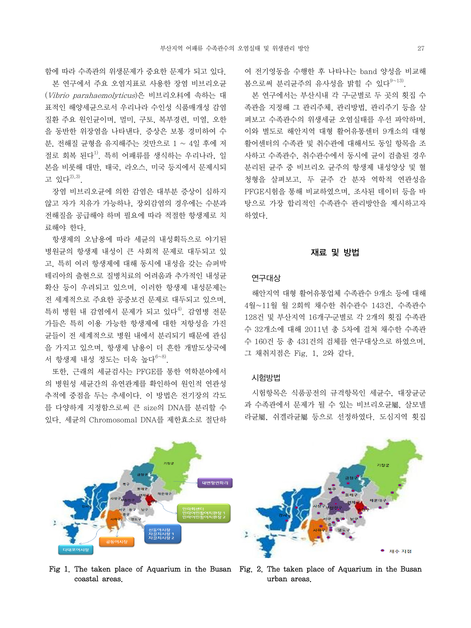함에 따라 수족관의 위생문제가 중요한 문제가 되고 있다.

 본 연구에서 주요 오염지표로 사용한 장염 비브리오균 (Vibrio parahaemolyticus)은 비브리오科에 속하는 대 표적인 해양세균으로서 우리나라 수인성 식품매개성 감염 질환 주요 원인균이며, 멀미, 구토, 복부경련, 미열, 오한 을 동반한 위장염을 나타낸다. 증상은 보통 경미하여 수 분, 전해질 균형을 유지해주는 것만으로 1 ~ 4일 후에 저 절로 회복 된다<sup>1)</sup>. 특히 어패류를 생식하는 우리나라, 일 본을 비롯해 대만, 태국, 라오스, 미국 등지에서 문제시되 고 있다 $^{2),3)}$ 

 장염 비브리오균에 의한 감염은 대부분 증상이 심하지 않고 자가 치유가 가능하나, 장외감염의 경우에는 수분과 전해질을 공급해야 하며 필요에 따라 적절한 항생제로 치 료해야 한다.

 항생제의 오남용에 따라 세균의 내성획득으로 야기된 병원균의 항생제 내성이 큰 사회적 문제로 대두되고 있 고, 특히 여러 항생제에 대해 동시에 내성을 갖는 슈퍼박 테리아의 출현으로 질병치료의 어려움과 추가적인 내성균 확산 등이 우려되고 있으며, 이러한 항생제 내성문제는 전 세계적으로 주요한 공중보건 문제로 대두되고 있으며, 특히 병원 내 감염에서 문제가 되고 있다<sup>4)</sup>. 감염병 전문 가들은 특히 이용 가능한 항생제에 대한 저항성을 가진 균들이 전 세계적으로 병원 내에서 분리되기 때문에 관심 을 가지고 있으며, 항생제 남용이 더 흔한 개발도상국에 서 항생제 내성 정도는 더욱 높다 $^{6-8)}$ .

 또한, 근래의 세균검사는 PFGE를 통한 역학분야에서 의 병원성 세균간의 유연관계를 확인하여 원인적 연관성 추적에 중점을 두는 추세이다. 이 방법은 전기장의 각도 를 다양하게 지정함으로써 큰 size의 DNA를 분리할 수 있다. 세균의 Chromosomal DNA를 제한효소로 절단하

변항연화리 <sub>언중의시정</sub><br>자갈치시장 :<br>자간치시자 : 다대포어시장

Fig 1. The taken place of Aquarium in the Busan Fig. 2. The taken place of Aquarium in the Busan coastal areas.

여 전기영동을 수행한 후 나타나는 band 양성을 비교해 복으로써 부리규주의 유사성을 밝힐 수 있다 $9~13$ .

 본 연구에서는 부산시내 각 구․군별로 두 곳의 횟집 수 족관을 지정해 그 관리주체, 관리방법, 관리주기 등을 살 펴보고 수족관수의 위생세균 오염실태를 우선 파악하며, 이와 별도로 해안지역 대형 활어유통센터 9개소의 대형 활어센터의 수족관 및 취수관에 대해서도 동일 항목을 조 사하고 수족관수, 취수관수에서 동시에 균이 검출된 경우 분리된 균주 중 비브리오 균주의 항생제 내성양상 및 혈 청형을 살펴보고, 두 균주 간 분자 역학적 연관성을 PFGE시험을 통해 비교하였으며, 조사된 데이터 등을 바 탕으로 가장 합리적인 수족관수 관리방안을 제시하고자 하였다

## 재료 및 방법

# 연구대상

 해안지역 대형 활어유통업체 수족관수 9개소 등에 대해 4월~11월 월 2회씩 채수한 취수관수 143건, 수족관수 128건 및 부산지역 16개구․군별로 각 2개의 횟집 수족관 수 32개소에 대해 2011년 총 5차에 걸쳐 채수한 수족관 수 160건 등 총 431건의 검체를 연구대상으로 하였으며, 그 채취지점은 Fig. 1, 2와 같다.

### 시험방법

 시험항목은 식품공전의 규격항목인 세균수, 대장균군 과 수족관에서 문제가 될 수 있는 비브리오균屬, 살모넬 라균屬, 쉬겔라균屬 등으로 선정하였다. 도심지역 횟집



urban areas.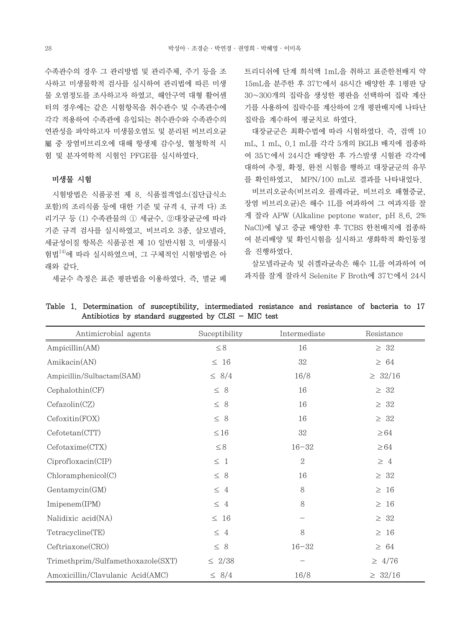수족관수의 경우 그 관리방법 및 관리주체, 주기 등을 조 사하고 미생물학적 검사를 실시하여 관리법에 따른 미생 물 오염정도를 조사하고자 하였고, 해안구역 대형 활어센 터의 경우에는 같은 시험항목을 취수관수 및 수족관수에 각각 적용하여 수족관에 유입되는 취수관수와 수족관수의 연관성을 파악하고자 미생물오염도 및 분리된 비브리오균 屬 중 장염비브리오에 대해 항생제 감수성, 혈청학적 시 험 및 분자역학적 시험인 PFGE를 실시하였다.

### 미생물 시험

 시험방법은 식품공전 제 8. 식품접객업소(집단급식소 포함)의 조리식품 등에 대한 기준 및 규격 4. 규격 다) 조 리기구 등 (1) 수족관물의 ① 세균수, ②대장균군에 따라 기준 규격 검사를 실시하였고, 비브리오 3종, 살모넬라, 세균성이질 항목은 식품공전 제 10 일반시험 3. 미생물시 험법14)에 따라 실시하였으며, 그 구체적인 시험방법은 아 래와 같다.

세균수 측정은 표준 평판법을 이용하였다. 즉, 멸균 페

트리디쉬에 단계 희석액 1mL을 취하고 표준한천배지 약 15mL을 분주한 후 37℃에서 48시간 배양한 후 1평판 당 30~300개의 집락을 생성한 평판을 선택하여 집락 계산 기를 사용하여 집락수를 계산하여 2개 평판배지에 나타난 집락을 계수하여 평균치로 하였다.

 대장균군은 최확수법에 따라 시험하였다. 즉, 검액 10 mL, 1 mL, 0.1 mL를 각각 5개의 BGLB 배지에 접종하 여 35℃에서 24시간 배양한 후 가스발생 시험관 각각에 대하여 추정, 확정, 완전 시험을 행하고 대장균군의 유무 를 확인하였고, MPN/100 mL로 결과를 나타내었다.

 비브리오균속(비브리오 콜레라균, 비브리오 패혈증균, 장염 비브리오균)은 해수 1L를 여과하여 그 여과지를 잘 게 잘라 APW (Alkaline peptone water, pH 8.6, 2% NaCl)에 넣고 증균 배양한 후 TCBS 한천배지에 접종하 여 분리배양 및 확인시험을 실시하고 생화학적 확인동정 을 진행하였다.

 살모넬라균속 및 쉬겔라균속은 해수 1L를 여과하여 여 과지를 잘게 잘라서 Selenite F Broth에 37℃에서 24시

| Antimicrobial agents              | Suceptibility | Intermediate      | Resistance   |
|-----------------------------------|---------------|-------------------|--------------|
| Ampicillin(AM)                    | $\leq 8$      | 16                | $\geq 32$    |
| Amikacin(AN)                      | $\leq~16$     | 32                | $\geq 64$    |
| Ampicillin/Sulbactam(SAM)         | $\leq 8/4$    | 16/8              | $\geq 32/16$ |
| Cephalothin(CF)                   | $\leq~8$      | 16                | $\geq 32$    |
| Cefazolin(CZ)                     | $\leq 8$      | 16                | $\geq 32$    |
| Cefoxitin(FOX)                    | $\leq 8$      | 16                | $\geq 32$    |
| Cefotetan(CTT)                    | $\leq 16$     | 32                | $\geq 64$    |
| Cefotaxime(CTX)                   | $\leq 8$      | $16 - 32$         | $\geq 64$    |
| Ciproflox (CIP)                   | $\leq~1$      | $\overline{2}$    | $\geq 4$     |
| Chloramphenicol(C)                | $\leq~8$      | 16                | $\geq 32$    |
| Gentamycin(GM)                    | $\leq 4$      | $8\,$             | $\geq~16$    |
| Imipenem(IPM)                     | $\leq 4$      | $8\,$             | $\geq 16$    |
| Nalidixic acid(NA)                | $\leq~16$     | $\qquad \qquad -$ | $\geq 32$    |
| Tetracycline(TE)                  | $\leq~4$      | $8\,$             | $\geq 16$    |
| Ceftriaxone(CRO)                  | $\leq 8$      | $16 - 32$         | $\geq 64$    |
| Trimethprim/Sulfamethoxazole(SXT) | $\leq 2/38$   | $\qquad \qquad$   | $\geq 4/76$  |
| Amoxicillin/Clavulanic Acid(AMC)  | $\leq 8/4$    | 16/8              | $\geq 32/16$ |

Table 1. Determination of susceptibility, intermediated resistance and resistance of bacteria to 17 Antibiotics by standard suggested by CLSI  $-$  MIC test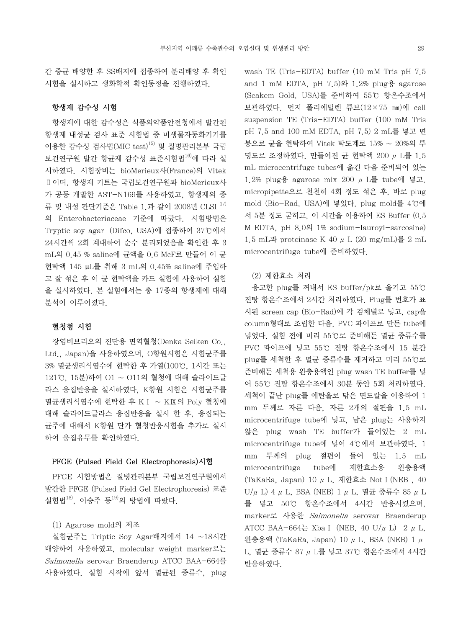간 증균 배양한 후 SS배지에 접종하여 분리배양 후 확인 시험을 실시하고 생화학적 확인동정을 진행하였다.

# 항생제 감수성 시험

 항생제에 대한 감수성은 식품의약품안전청에서 발간된 항생제 내성균 검사 표준 시험법 중 미생물자동화기기를 이용한 감수성 검사법(MIC test)15) 및 질병관리본부 국립 보건연구원 발간 항균제 감수성 표준시험법16)에 따라 실 시하였다. 시험장비는 bioMerieux사(France)의 Vitek Ⅱ이며, 항생제 키트는 국립보건연구원과 bioMerieux사 가 공동 개발한 AST-N169를 사용하였고, 항생제의 종 류 및 내성 판단기준은 Table 1.과 같이 2008년 CLSI 17) 의 Enterobacteriaceae 기준에 따랐다. 시험방법은 Tryptic soy agar (Difco, USA)에 접종하여 37℃에서 24시간씩 2회 계대하여 순수 분리되었음을 확인한 후 3 mL의 0.45 % saline에 균액을 0.6 McF로 만들어 이 균 현탁액 145 µL를 취해 3 mL의 0.45% saline에 주입하 고 잘 섞은 후 이 균 현탁액을 카드 실험에 사용하여 실험 을 실시하였다. 본 실험에서는 총 17종의 항생제에 대해 분석이 이루어졌다.

### 혈청형 시험

 장염비브리오의 진단용 면역혈청(Denka Seiken Co., Ltd., Japan)을 사용하였으며, O항원시험은 시험균주를 3% 멸균생리식염수에 현탁한 후 가열(100℃, 1시간 또는 121℃, 15분)하여 O1 ~ O11의 혈청에 대해 슬라이드글 라스 응집반응을 실시하였다, K항원 시험은 시험균주를 멸균생리식염수에 현탁한 후 KⅠ ~ KⅨ의 Poly 혈청에 대해 슬라이드글라스 응집반응을 실시 한 후, 응집되는 균주에 대해서 K항원 단가 혈청반응시험을 추가로 실시 하여 응집유무를 확인하였다.

# PFGE (Pulsed Field Gel Electrophoresis)시험

 PFGE 시험방법은 질병관리본부 국립보건연구원에서 발간한 PFGE (Pulsed Field Gel Electrophoresis) 표준 실험법 $18$ ) 이승주 등 $19$ 의 방법에 따랐다.

#### (1) Agarose mold의 제조

 실험균주는 Triptic Soy Agar배지에서 14 ~18시간 배양하여 사용하였고, molecular weight marker로는 Salmonella serovar Braenderup ATCC BAA-664를 사용하였다. 실험 시작에 앞서 멸균된 증류수, plug wash TE (Tris-EDTA) buffer (10 mM Tris pH 7.5 and 1 mM EDTA, pH  $7.5$ ) $9$  1.2% plug  $\frac{9}{5}$  agarose (Seakem Gold, USA)를 준비하여 55℃ 항온수조에서 보관하였다. 먼저 폴리에틸렌 튜브(12×75 ㎜)에 cell suspension TE (Tris-EDTA) buffer (100 mM Tris pH 7.5 and 100 mM EDTA, pH 7.5) 2 mL를 넣고 면 봉으로 균을 현탁하여 Vitek 탁도계로 15% ~ 20%의 투 명도로 조정하였다. 만들어진 균 현탁액 200 μL를 1.5 mL microcentrifuge tubes에 옮긴 다음 준비되어 있는 1.2% plug용 agarose mix 200  $\mu$  L를 tube에 넣고, micropipette으로 천천히 4회 정도 섞은 후, 바로 plug mold (Bio-Rad, USA)에 넣었다. plug mold를 4℃에 서 5분 정도 굳히고, 이 시간을 이용하여 ES Buffer (0.5 M EDTA, pH 8.0의 1% sodium-lauroyl-sarcosine) 1.5 mL과 proteinase K 40  $\mu$  L (20 mg/mL)를 2 mL microcentrifuge tube에 준비하였다.

### (2) 제한효소 처리

 응고한 plug를 꺼내서 ES buffer/pk로 옮기고 55℃ 진탕 항온수조에서 2시간 처리하였다. Plug를 번호가 표 시된 screen cap (Bio-Rad)에 각 검체별로 넣고, cap을 column형태로 조립한 다음, PVC 파이프로 만든 tube에 넣었다. 실험 전에 미리 55℃로 준비해둔 멸균 증류수를 PVC 파이프에 넣고 55℃ 진탕 항온수조에서 15 분간 plug를 세척한 후 멸균 증류수를 제거하고 미리 55℃로 준비해둔 세척용 완충용액인 plug wash TE buffer를 넣 어 55℃ 진탕 항온수조에서 30분 동안 5회 처리하였다. 세척이 끝난 plug를 에탄올로 닦은 면도칼을 이용하여 1 mm 두께로 자른 다음, 자른 2개의 절편을 1.5 mL microcentrifuge tube에 넣고, 남은 plug는 사용하지 않은 plug wash TE buffer가 들어있는 2 mL microcentrifuge tube에 넣어 4℃에서 보관하였다. 1 mm 두께의 plug 절편이 들어 있는 1.5 mL microcentrifuge tube에 제한효소용 완충용액 (TaKaRa, Japan) 10 μL, 제한효소 NotⅠ(NEB , 40 U/μ L) 4 μ L, BSA (NEB) 1 μ L, 멸균 증류수 85 μ L 를 넣고 50℃ 항온수조에서 4시간 반응시켰으며, marker로 사용한 Salmonella serovar Braenderup ATCC BAA-664는 Xba I (NEB, 40 U/ $\mu$  L) 2  $\mu$  L, 완충용액 (TaKaRa, Japan) 10 μL, BSA (NEB) 1 μ L, 멸균 증류수 87 μL를 넣고 37℃ 항온수조에서 4시간 반응하였다.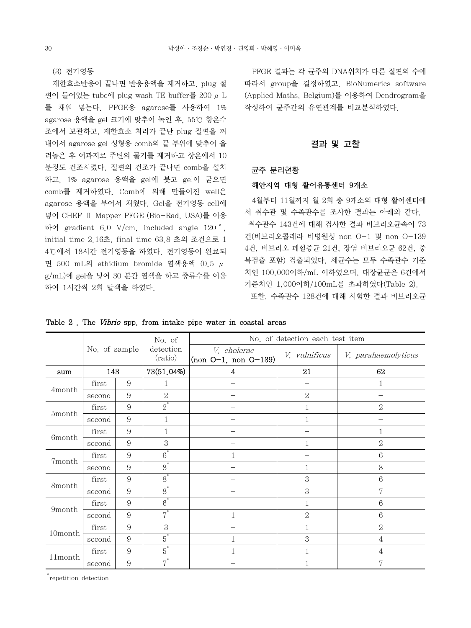(3) 전기영동

 제한효소반응이 끝나면 반응용액을 제거하고, plug 절 편이 들어있는 tube에 plug wash TE buffer를 200  $μ$  L 를 채워 넣는다. PFGE용 agarose를 사용하여 1% agarose 용액을 gel 크기에 맞추어 녹인 후, 55℃ 항온수 조에서 보관하고, 제한효소 처리가 끝난 plug 절편을 꺼 내어서 agarose gel 성형용 comb의 끝 부위에 맞추어 올 려놓은 후 여과지로 주변의 물기를 제거하고 상온에서 10 분정도 건조시켰다. 절편의 건조가 끝나면 comb을 설치 하고, 1% agarose 용액을 gel에 붓고 gel이 굳으면 comb를 제거하였다. Comb에 의해 만들어진 well은 agarose 용액을 부어서 채웠다. Gel을 전기영동 cell에 넣어 CHEF Ⅱ Mapper PFGE (Bio-Rad, USA)를 이용 하여 gradient 6.0 V/cm, included angle 120˚, initial time 2.16초, final time 63.8 초의 조건으로 1 4℃에서 18시간 전기영동을 하였다. 전기영동이 완료되 면 500 mL의 ethidium bromide 염색용액 (0.5 μ g/mL)에 gel을 넣어 30 분간 염색을 하고 증류수를 이용 하여 1시간씩 2회 탈색을 하였다.

 PFGE 결과는 각 균주의 DNA위치가 다른 절편의 수에 따라서 group을 결정하였고, BioNumerics software (Applied Maths, Belgium)를 이용하여 Dendrogram을 작성하여 균주간의 유연관계를 비교분석하였다.

### 결과 및 고찰

### 균주 분리현황

#### 해안지역 대형 활어유통센터 9개소

 4월부터 11월까지 월 2회 총 9개소의 대형 활어센터에 서 취수관 및 수족관수를 조사한 결과는 아래와 같다. 취수관수 143건에 대해 검사한 결과 비브리오균속이 73 건(비브리오콜레라 비병원성 non O-1 및 non O-139 4건, 비브리오 패혈증균 21건, 장염 비브리오균 62건, 중 복검출 포함) 검출되었다. 세균수는 모두 수족관수 기준 치인 100,000이하/mL 이하였으며, 대장균군은 6건에서 기준치인 1,000이하/100mL를 초과하였다(Table 2).

| 또한, 수족관수 128건에 대해 시험한 결과 비브리오균 |  |  |
|--------------------------------|--|--|
|--------------------------------|--|--|

|                     |               |                | No. of               |                                       | No. of detection each test item |                     |  |
|---------------------|---------------|----------------|----------------------|---------------------------------------|---------------------------------|---------------------|--|
|                     | No. of sample |                | detection<br>(ratio) | V. cholerae<br>$(non O-1, non O-139)$ | V. vulnificus                   | V. parahaemolyticus |  |
| sum                 | 143           |                | 73(51.04%)           | 4                                     | 21                              | 62                  |  |
|                     | first         | 9              | 1                    |                                       | —                               | 1                   |  |
| 4month              | second        | 9              | $\overline{2}$       |                                       | $\overline{2}$                  |                     |  |
|                     | first         | $\overline{9}$ | $\overline{2}^*$     |                                       |                                 | $\sqrt{2}$          |  |
| 5month              | second        | 9              | 1                    |                                       |                                 |                     |  |
|                     | first         | 9              |                      |                                       |                                 |                     |  |
| 6 <sub>m</sub> onth | second        | 9              | 3                    |                                       |                                 | $\overline{2}$      |  |
| 7month              | first         | 9              | $\overline{6}^*$     |                                       |                                 | $6\phantom{1}6$     |  |
|                     | second        | 9              | $\overline{8}^*$     |                                       | 1                               | 8                   |  |
| 8month              | first         | 9              | $\overline{8}^*$     |                                       | 3                               | $\,6$               |  |
|                     | second        | $\overline{9}$ | $\overline{8}^*$     |                                       | 3                               | 7                   |  |
|                     | first         | $\overline{9}$ | $\overline{6}^*$     |                                       | 1                               | $\,6$               |  |
| 9month              | second        | 9              | $\overline{7}^*$     |                                       | $\overline{2}$                  | $\,6$               |  |
|                     | first         | 9              | 3                    |                                       |                                 | $\overline{2}$      |  |
| 10month             | second        | $\overline{9}$ | $\overline{5}^*$     |                                       | 3                               | 4                   |  |
|                     | first         | 9              | $\overline{5}^*$     |                                       |                                 | 4                   |  |
| 11month             | second        | 9              | $7^*$                |                                       |                                 | 7                   |  |

Table 2. The *Vibrio* spp. from intake pipe water in coastal areas

\* repetition detection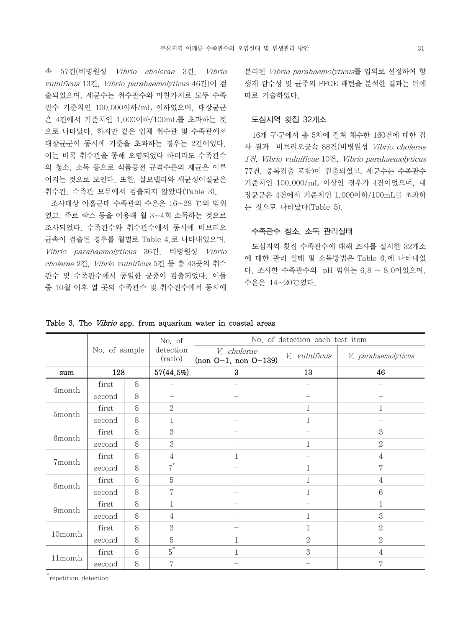속 57건(비병원성 Vibrio cholerae 3건, Vibrio vulnificus 13건, Vibrio parahaemolyticus 46건)이 검 출되었으며, 세균수는 취수관수와 마찬가지로 모두 수족 관수 기준치인 100,000이하/mL 이하였으며, 대장균군 은 4건에서 기준치인 1,000이하/100mL를 초과하는 것 으로 나타났다. 하지만 같은 업체 취수관 및 수족관에서 대장균군이 동시에 기준을 초과하는 경우는 2건이었다. 이는 비록 취수관을 통해 오염되었다 하더라도 수족관수 의 청소, 소독 등으로 식품공전 규격수준의 제균은 이루 어지는 것으로 보인다. 또한, 살모넬라와 세균성이질균은 취수관, 수족관 모두에서 검출되지 않았다(Table 3).

 조사대상 아홉군데 수족관의 수온은 16~28 ℃의 범위 였고, 주로 락스 등을 이용해 월 3~4회 소독하는 것으로 조사되었다. 수족관수와 취수관수에서 동시에 비브리오 균속이 검출된 경우를 월별로 Table 4.로 나타내었으며, Vibrio parahaemolyticus 36건, 비병원성 Vibrio cholerae 2건, Vibrio vulnificus 5건 등 총 43곳의 취수 관수 및 수족관수에서 동일한 균종이 검출되었다. 이들 중 10월 이후 열 곳의 수족관수 및 취수관수에서 동시에

분리된 Vibrio parahaemolyticus를 임의로 선정하여 항 생제 감수성 및 균주의 PFGE 패턴을 분석한 결과는 뒤에 따로 기술하였다.

# 도심지역 횟집 32개소

 16개 구․군에서 총 5차에 걸쳐 채수한 160건에 대한 검 사 결과 비브리오균속 88건(비병원성 Vibrio cholerae 1건, Vibrio vulnificus 10건, Vibrio parahaemolyticus 77건, 중복검출 포함)이 검출되었고, 세균수는 수족관수 기준치인 100,000/mL 이상인 경우가 4건이었으며, 대 장균군은 4건에서 기준치인 1,000이하/100mL를 초과하 는 것으로 나타났다(Table 5).

# 수족관수 청소, 소독 관리실태

 도심지역 횟집 수족관수에 대해 조사를 실시한 32개소 에 대한 관리 실태 및 소독방법은 Table 6.에 나타내었 다. 조사한 수족관수의 pH 범위는 6.8 ~ 8.0이었으며, 수온은 14~20℃였다.

|                           |               |   | No. of               | No. of detection each test item             |                |                     |  |  |  |  |  |
|---------------------------|---------------|---|----------------------|---------------------------------------------|----------------|---------------------|--|--|--|--|--|
|                           | No. of sample |   | detection<br>(ratio) | V. cholerae<br>$\vert$ (non O-1, non O-139) | V. vulnificus  | V. parahaemolyticus |  |  |  |  |  |
| sum                       | 128           |   | 57(44.5%)            | $\boldsymbol{3}$                            | 13             | 46                  |  |  |  |  |  |
|                           | first         | 8 |                      |                                             |                |                     |  |  |  |  |  |
| 4month                    | second        | 8 |                      |                                             |                |                     |  |  |  |  |  |
|                           | first         | 8 | $\mathbf{2}$         |                                             | 1              |                     |  |  |  |  |  |
| 5month                    | second        | 8 | $\mathbf{1}$         |                                             | 1              |                     |  |  |  |  |  |
|                           | first         | 8 | 3                    |                                             |                | $\sqrt{3}$          |  |  |  |  |  |
| $6 {\rm month}$<br>second |               | 8 | 3                    |                                             | 1              | $\mathbf{2}$        |  |  |  |  |  |
|                           | first         | 8 | 4                    | 1                                           |                | $\overline{4}$      |  |  |  |  |  |
| 7month                    | second        | 8 | $\overline{7}^*$     |                                             | $\mathbf{1}$   | 7                   |  |  |  |  |  |
|                           | first         | 8 | $\mathbf 5$          |                                             | 1              | 4                   |  |  |  |  |  |
| 8month                    | second        | 8 | 7                    |                                             | 1              | $\,6$               |  |  |  |  |  |
|                           | first         | 8 | 1                    |                                             |                | 1                   |  |  |  |  |  |
| $9 {\rm month}$           | second        | 8 | $\overline{4}$       |                                             | 1              | 3                   |  |  |  |  |  |
|                           | first         | 8 | 3                    |                                             | 1              | $\overline{2}$      |  |  |  |  |  |
| 10month                   | second        | 8 | 5                    | 1                                           | $\overline{2}$ | $\overline{2}$      |  |  |  |  |  |
|                           | first         | 8 | $\overline{5}^*$     | 1                                           | 3              | $\overline{4}$      |  |  |  |  |  |
| 11month                   | second        | 8 | 7                    |                                             |                | 7                   |  |  |  |  |  |

Table 3. The Vibrio spp. from aquarium water in coastal areas

\* repetition detection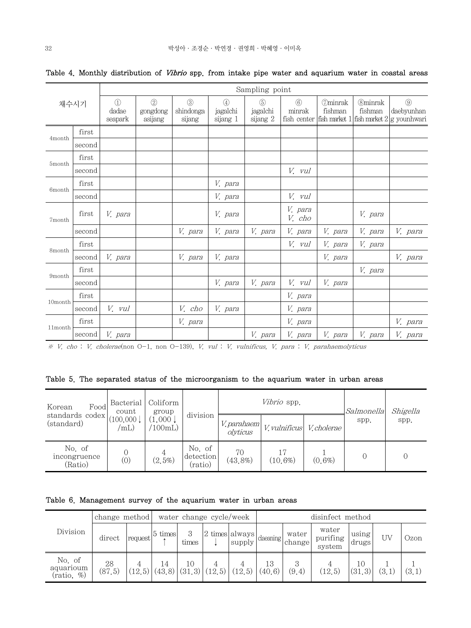|         |        |                                   | Sampling point             |                                      |                                           |                             |                                        |                           |                           |                                                                            |  |  |  |  |  |
|---------|--------|-----------------------------------|----------------------------|--------------------------------------|-------------------------------------------|-----------------------------|----------------------------------------|---------------------------|---------------------------|----------------------------------------------------------------------------|--|--|--|--|--|
|         | 채수시기   | $\circled{1}$<br>dadae<br>seapark | (2)<br>gongdong<br>asijang | $\circled{3}$<br>shindonga<br>sijang | $\left( 4\right)$<br>jagalchi<br>sijang 1 | (5)<br>jagalchi<br>sijang 2 | $\circled{6}$<br>minrak<br>fish center | <b>Ominrak</b><br>fishman | <b>Ominrak</b><br>fishman | $\circled{9}$<br>daebyunhan<br>fish market $1$ fish market $2 g$ younhwari |  |  |  |  |  |
| 4month  | first  |                                   |                            |                                      |                                           |                             |                                        |                           |                           |                                                                            |  |  |  |  |  |
|         | second |                                   |                            |                                      |                                           |                             |                                        |                           |                           |                                                                            |  |  |  |  |  |
| 5month  | first  |                                   |                            |                                      |                                           |                             |                                        |                           |                           |                                                                            |  |  |  |  |  |
|         | second |                                   |                            |                                      |                                           |                             | V. vul                                 |                           |                           |                                                                            |  |  |  |  |  |
| 6month  | first  |                                   |                            |                                      | V. para                                   |                             |                                        |                           |                           |                                                                            |  |  |  |  |  |
|         | second |                                   |                            |                                      | V. para                                   |                             | V. vul                                 |                           |                           |                                                                            |  |  |  |  |  |
| 7month  | first  | V. para                           |                            |                                      | V. para                                   |                             | V. para<br>V. cho                      |                           | V. para                   |                                                                            |  |  |  |  |  |
|         | second |                                   |                            | V. para                              | V. para                                   | V. para                     | V. para                                | V. para                   | V. para                   | V. para                                                                    |  |  |  |  |  |
| 8month  | first  |                                   |                            |                                      |                                           |                             | V. vul                                 | V. para                   | V. para                   |                                                                            |  |  |  |  |  |
|         | second | V. para                           |                            | V. para                              | V. para                                   |                             |                                        | V. para                   |                           | V. para                                                                    |  |  |  |  |  |
| 9month  | first  |                                   |                            |                                      |                                           |                             |                                        |                           | V. para                   |                                                                            |  |  |  |  |  |
|         | second |                                   |                            |                                      | V. para                                   | V. para                     | V. vul                                 | V. para                   |                           |                                                                            |  |  |  |  |  |
| 10month | first  |                                   |                            |                                      |                                           |                             | V. para                                |                           |                           |                                                                            |  |  |  |  |  |
|         | second | V. vul                            |                            | V. cho                               | V. para                                   |                             | V. para                                |                           |                           |                                                                            |  |  |  |  |  |
| 11month | first  |                                   |                            | V. para                              |                                           |                             | V. para                                |                           |                           | V. para                                                                    |  |  |  |  |  |
|         | second | V. para                           |                            |                                      |                                           | V. para                     | V. para                                | V. para                   | V. para                   | V. para                                                                    |  |  |  |  |  |

# Table 4. Monthly distribution of Vibrio spp. from intake pipe water and aquarium water in coastal areas

※ V. cho : V. cholerae(non O-1, non O-139), V. vul : V. vulnificus, V. para : V. parahaemolyticus

# Table 5. The separated status of the microorganism to the aquarium water in urban areas

| Korean<br>Food                    | Bacterial<br>count          | Coliform<br>group  |                                |                         | Vibrio spp.          | Salmonella | Shigella |      |
|-----------------------------------|-----------------------------|--------------------|--------------------------------|-------------------------|----------------------|------------|----------|------|
| standards codex<br>(standard)     | (100,000)<br>$\mu_{\rm mL}$ | (1,000)<br>(100mL) | division                       | V. parahaem<br>olyticus | <i>V. vulnificus</i> | V.cholerae | spp.     | spp. |
| No. of<br>incongruence<br>(Ratio) | (0)                         | 4<br>$(2,5\%)$     | No. of<br>detection<br>(ratio) | 70<br>$(43, 8\%)$       | 17<br>$(10, 6\%)$    | $(0.6\%)$  |          |      |

Table 6. Management survey of the aquarium water in urban areas

| Division                          | change method |         | water change cycle/week   |              |         |                        | disinfect method |                 |                             |                |     |       |
|-----------------------------------|---------------|---------|---------------------------|--------------|---------|------------------------|------------------|-----------------|-----------------------------|----------------|-----|-------|
|                                   | direct        | request | $ 5 \times$               | 3<br>times   | 2       | times always<br>supply | claeaning        | water<br>change | water<br>purifing<br>system | using<br>drugs | UV  | Ozon  |
| No. of<br>aquarioum<br>(ratio, %) | 28<br>(87, 5) | (12, 5) | $\overline{14}$<br>(43,8) | 10<br>(31,3) | (12, 5) | (12.5)                 | 13<br>(40, 6)    | (9,4)           | (12, 5)                     | 10<br>(31.3)   | (3. | (3,1) |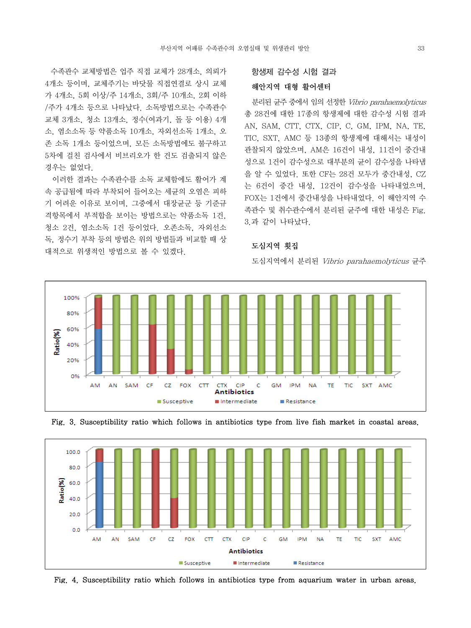수족관수 교체방법은 업주 직접 교체가 28개소, 의뢰가 4개소 등이며, 교체주기는 바닷물 직접연결로 상시 교체 가 4개소, 5회 이상/주 14개소, 3회/주 10개소, 2회 이하 /주가 4개소 등으로 나타났다. 소독방법으로는 수족관수 교체 3개소, 청소 13개소, 정수(여과기, 돌 등 이용) 4개 소, 염소소독 등 약품소독 10개소, 자외선소독 1개소, 오 존 소독 1개소 등이었으며, 모든 소독방법에도 불구하고 5차에 걸친 검사에서 비브리오가 한 건도 검출되지 않은 경우는 없었다.

 이러한 결과는 수족관수를 소독 교체함에도 활어가 계 속 공급됨에 따라 부착되어 들어오는 세균의 오염은 피하 기 어려운 이유로 보이며, 그중에서 대장균군 등 기준규 격항목에서 부적합을 보이는 방법으로는 약품소독 1건, 청소 2건, 염소소독 1건 등이었다. 오존소독, 자외선소 독, 정수기 부착 등의 방법은 위의 방법들과 비교할 때 상 대적으로 위생적인 방법으로 볼 수 있겠다.

### 항생제 감수성 시험 결과

#### 해안지역 대형 활어센터

 분리된 균주 중에서 임의 선정한 Vibrio parahaemolyticus 총 28건에 대한 17종의 항생제에 대한 감수성 시험 결과 AN, SAM, CTT, CTX, CIP, C, GM, IPM, NA, TE, TIC, SXT, AMC 등 13종의 항생제에 대해서는 내성이 관찰되지 않았으며, AM은 16건이 내성, 11건이 중간내 성으로 1건이 감수성으로 대부분의 균이 감수성을 나타냄 을 알 수 있었다. 또한 CF는 28건 모두가 중간내성, CZ 는 6건이 중간 내성, 12건이 감수성을 나타내었으며, FOX는 1건에서 중간내성을 나타내었다. 이 해안지역 수 족관수 및 취수관수에서 분리된 균주에 대한 내성은 Fig. 3.과 같이 나타났다.

# 도심지역 횟집

도심지역에서 분리된 Vibrio parahaemolyticus 균주







Fig. 4. Susceptibility ratio which follows in antibiotics type from aquarium water in urban areas.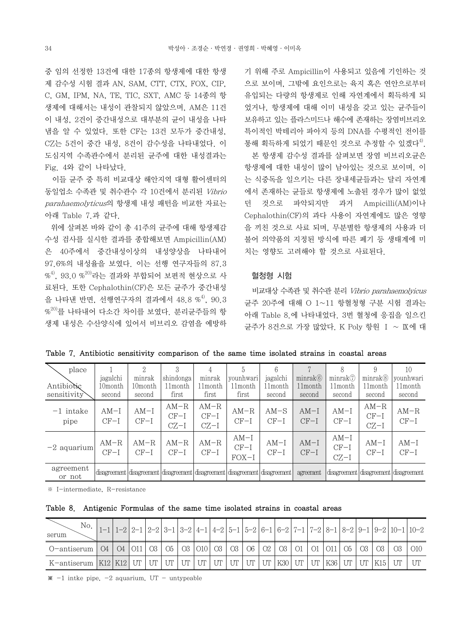중 임의 선정한 13건에 대한 17종의 항생제에 대한 항생 제 감수성 시험 결과 AN, SAM, CTT, CTX, FOX, CIP, C, GM, IPM, NA, TE, TIC, SXT, AMC 등 14종의 항 생제에 대해서는 내성이 관찰되지 않았으며, AM은 11건 이 내성, 2건이 중간내성으로 대부분의 균이 내성을 나타 냄을 알 수 있었다. 또한 CF는 13건 모두가 중간내성, CZ는 5건이 중간 내성, 8건이 감수성을 나타내었다. 이 도심지역 수족관수에서 분리된 균주에 대한 내성결과는 Fig. 4와 같이 나타났다.

 이들 균주 중 특히 비교대상 해안지역 대형 활어센터의 동일업소 수족관 및 취수관수 각 10건에서 분리된 Vibrio parahaemolyticus의 항생제 내성 패턴을 비교한 자료는 아래 Table 7.과 같다.

 위에 살펴본 바와 같이 총 41주의 균주에 대해 항생제감 수성 검사를 실시한 결과를 종합해보면 Ampicillin(AM) 은 40주에서 중간내성이상의 내성양상을 나타내어 97.6%의 내성율을 보였다. 이는 선행 연구자들의 87.3  $\% ^{4)}$ , 93.0  $\% ^{20}$ 라는 결과와 부합되어 보편적 현상으로 사 료된다. 또한 Cephalothin(CF)은 모든 균주가 중간내성 음 나타내 반면, 선행연구자의 결과에서 48.8 %<sup>4)</sup>, 90.3  $\%^{20}$ 를 나타내어 다소간 차이를 보였다. 분리균주들의 항 생제 내성은 수산양식에 있어서 비브리오 감염을 예방하 기 위해 주로 Ampicillin이 사용되고 있음에 기인하는 것 으로 보이며, 그밖에 요인으로는 육지 혹은 연안으로부터 유입되는 다량의 항생제로 인해 자연계에서 획득하게 되 었거나, 항생제에 대해 이미 내성을 갖고 있는 균주들이 보유하고 있는 플라스미드나 해수에 존재하는 장염비브리오 특이적인 박테리아 파아지 등의 DNA를 수평적인 전이를 통해 획득하게 되었기 때문인 것으로 추정할 수 있겠다<sup>4)</sup>.

 본 항생제 감수성 결과를 살펴보면 장염 비브리오균은 항생제에 대한 내성이 많이 남아있는 것으로 보이며, 이 는 식중독을 일으키는 다른 장내세균들과는 달리 자연계 에서 존재하는 균들로 항생제에 노출된 경우가 많이 없었 던 것으로 파악되지만 과거 Ampicilli(AM)이나 Cephalothin(CF)의 과다 사용이 자연계에도 많은 영향 을 끼친 것으로 사료 되며, 무분별한 항생제의 사용과 더 불어 의약품의 지정된 방식에 따른 폐기 등 생태계에 미 치는 영향도 고려해야 할 것으로 사료된다.

# 혈청형 시험

 비교대상 수족관 및 취수관 분리 Vibrio parahaemolyicus 균주 20주에 대해 O 1~11 항혈청형 구분 시험 결과는 아래 Table 8.에 나타내었다. 3번 혈청에 응집을 일으킨 균주가 8건으로 가장 많았다. K Poly 항원 Ⅰ ~ Ⅸ에 대

| place               |                     | $\Omega$         |                            | 4                          |                             | 6                                                                                       |                     |                            |                                            | 10                                         |
|---------------------|---------------------|------------------|----------------------------|----------------------------|-----------------------------|-----------------------------------------------------------------------------------------|---------------------|----------------------------|--------------------------------------------|--------------------------------------------|
|                     | jagalchi            | minrak           | shindonga                  | minrak                     | younhwari                   | jagalchi                                                                                | minrak <sub>6</sub> | minrak                     | $minrak$ <sup><math>\circledR</math></sup> | younhwari                                  |
| Antibiotic          | 10 <sub>month</sub> | 10month          | 11month                    | 11month                    | 11month                     | 11month                                                                                 | 11 <sub>month</sub> | 11month                    | 11 <sub>month</sub>                        | 11 month                                   |
| sensitivity         | second              | second           | first                      | first                      | first                       | second                                                                                  | second              | second                     | second                                     | second                                     |
| $-1$ intake<br>pipe | $AM-I$<br>$CF-I$    | $AM-I$<br>$CF-I$ | $AM-R$<br>$CF-I$<br>$CZ-I$ | $AM-R$<br>$CF-I$<br>$CZ-I$ | $AM-R$<br>$CF-I$            | $AM-S$<br>$CF-I$                                                                        | $AM-I$<br>$CF-I$    | $AM-I$<br>$CF-I$           | $AM-R$<br>$CF-I$<br>$CZ-I$                 | $AM-R$<br>$CF-I$                           |
| $-2$ aquarium       | $AM-R$<br>$CF-I$    | $AM-R$<br>$CF-I$ | $AM-R$<br>$CF-I$           | $AM-R$<br>$CF-I$           | $AM-I$<br>$CF-I$<br>$FOX-I$ | $AM-I$<br>$CF-I$                                                                        | $AM-I$<br>$CF-I$    | $AM-I$<br>$CF-I$<br>$CZ-I$ | $AM-I$<br>$CF-I$                           | $AM-I$<br>$CF-I$                           |
| agreement<br>or not |                     |                  |                            |                            |                             | disagreement   disagreement   disagreement   disagreement   disagreement   disagreement | agreement           |                            |                                            | disagreement   disagreement   disagreement |

Table 7. Antibiotic sensitivity comparison of the same time isolated strains in coastal areas

※ I-intermediate, R-resistance

Table 8. Antigenic Formulas of the same time isolated strains in coastal areas

| No.<br>serum                                                                                                        |  |  |  |  |  |  |  |  |  | $1-1$ $1-2$ $2-1$ $2-2$ $3-1$ $3-2$ $4-1$ $4-2$ $5-1$ $5-2$ $6-1$ $6-2$ $7-1$ $7-2$ $8-1$ $8-2$ $9-1$ $9-2$ $10-1$ $10-2$ |
|---------------------------------------------------------------------------------------------------------------------|--|--|--|--|--|--|--|--|--|---------------------------------------------------------------------------------------------------------------------------|
| 0-antiserum   04   04   011   03   05   03   010   03   03   06   02   03   01   01   011   05   03   03   03   010 |  |  |  |  |  |  |  |  |  |                                                                                                                           |
|                                                                                                                     |  |  |  |  |  |  |  |  |  |                                                                                                                           |

 $\mathbf{\times}$  -1 intke pipe, -2 aquarium, UT - untypeable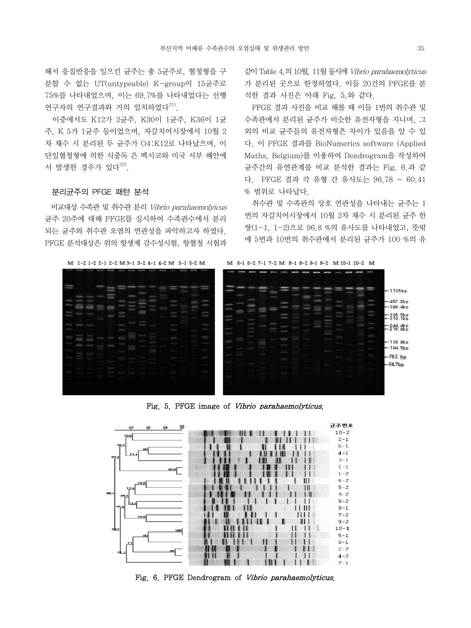해서 응집반응을 일으킨 균주는 총 5균주로, 혈청형을 구 분할 수 없는 UT(untypeable) K-group이 15균주로 75%를 나타내었으며, 이는 69.7%를 나타내었다는 선행 연구자의 연구결과와 거의 일치하였다 $^{21}$ .

 이중에서도 K12가 2균주, K30이 1균주, K36이 1균 주, K 5가 1균주 등이었으며, 자갈치어시장에서 10월 2 차 채수 시 분리된 두 균주가 O4:K12로 나타났으며, 이 단일혈청형에 의한 식중독 은 멕시코와 미국 서부 해안에 서 발생한 경우가 있다<sup>22)</sup>.

#### 분리균주의 PFGE 패턴 분석

 비교대상 수족관 및 취수관 분리 Vibrio parahaemolyicus 균주 20주에 대해 PFGE를 실시하여 수족관수에서 분리 되는 균주와 취수관 오염의 연관성을 파악하고자 하였다. PFGE 분석대상은 위의 항생제 감수성시험, 항혈청 시험과 같이 Table 4.의 10월, 11월 동시에 Vibrio parahaemolyticus 가 분리된 곳으로 한정하였다. 이들 20건의 PFGE를 분 석한 결과 사진은 아래 Fig. 5.와 같다.

 PFGE 결과 사진을 비교 해볼 때 이들 1번의 취수관 및 수족관에서 분리된 균주가 비슷한 유전자형을 지니며, 그 외의 비교 균주들의 유전자형은 차이가 있음을 알 수 있 다. 이 PFGE 결과를 BioNumerics software (Applied Maths, Belgium)를 이용하여 Dendrogram을 작성하여 균주간의 유연관계를 비교 분석한 결과는 Fig. 6.과 같 다. PFGE 결과 각 유형 간 유사도는 96.78 ~ 60.41 % 범위로 나타났다.

 취수관 및 수족관의 상호 연관성을 나타내는 균주는 1 번의 자갈치어시장에서 10월 2차 채수 시 분리된 균주 한 쌍(1-1, 1-2)으로 96.8 %의 유사도를 나타내었고, 뜻밖 에 5번과 10번의 취수관에서 분리된 균주가 100 %의 유



Fig. 5. PFGE image of Vibrio parahaemolyticus.



Fig. 6. PFGE Dendrogram of Vibrio parahaemolyticus.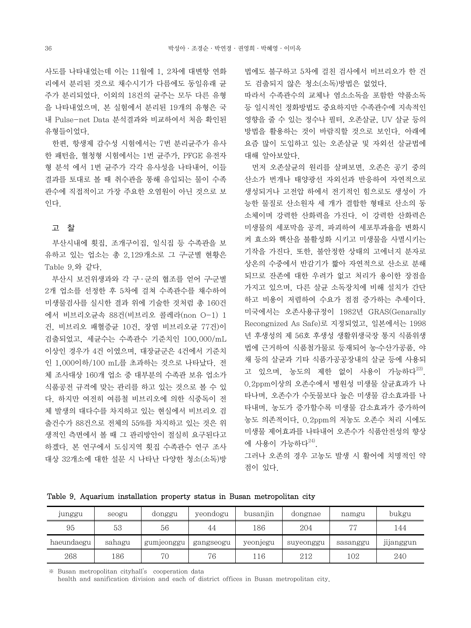사도를 나타내었는데 이는 11월에 1, 2차에 대변항 연화 리에서 분리된 것으로 채수시기가 다름에도 동일유래 균 주가 분리되었다. 이외의 18건의 균주는 모두 다른 유형 을 나타내었으며, 본 실험에서 분리된 19개의 유형은 국 내 Pulse-net Data 분석결과와 비교하여서 처음 확인된 유형들이었다.

 한편, 항생제 감수성 시험에서는 7번 분리균주가 유사 한 패턴을, 혈청형 시험에서는 1번 균주가, PFGE 유전자 형 분석 에서 1번 균주가 각각 유사성을 나타내어, 이들 결과를 토대로 볼 때 취수관을 통해 유입되는 물이 수족 관수에 직접적이고 가장 주요한 오염원이 아닌 것으로 보 인다.

# 고 찰

 부산시내에 횟집, 조개구이집, 일식집 등 수족관을 보 유하고 있는 업소는 총 2,129개소로 그 구․군별 현황은 Table 9.와 같다.

 부산시 보건위생과와 각 구 ․ 군의 협조를 얻어 구․군별 2개 업소를 선정한 후 5차에 걸쳐 수족관수를 채수하여 미생물검사를 실시한 결과 위에 기술한 것처럼 총 160건 에서 비브리오균속 88건(비브리오 콜레라(non O-1) 1 건, 비브리오 패혈증균 10건, 장염 비브리오균 77건)이 검출되었고, 세균수는 수족관수 기준치인 100,000/mL 이상인 경우가 4건 이였으며, 대장균군은 4건에서 기준치 인 1,000이하/100 mL를 초과하는 것으로 나타났다. 전 체 조사대상 160개 업소 중 대부분의 수족관 보유 업소가 식품공전 규격에 맞는 관리를 하고 있는 것으로 볼 수 있 다. 하지만 여전히 여름철 비브리오에 의한 식중독이 전 체 발생의 대다수를 차지하고 있는 현실에서 비브리오 검 출건수가 88건으로 전체의 55%를 차지하고 있는 것은 위 생적인 측면에서 볼 때 그 관리방안이 절실히 요구된다고 하겠다. 본 연구에서 도심지역 횟집 수족관수 연구 조사 대상 32개소에 대한 설문 시 나타난 다양한 청소(소독)방 법에도 불구하고 5차에 걸친 검사에서 비브리오가 한 건 도 검출되지 않은 청소(소독)방법은 없었다.

따라서 수족관수의 교체나 염소소독을 포함한 약품소독 등 일시적인 정화방법도 중요하지만 수족관수에 지속적인 영향을 줄 수 있는 정수나 필터, 오존살균, UV 살균 등의 방법을 활용하는 것이 바람직할 것으로 보인다. 아래에 요즘 많이 도입하고 있는 오존살균 및 자외선 살균법에 대해 알아보았다.

 먼저 오존살균의 원리를 살펴보면, 오존은 공기 중의 산소가 번개나 태양광선 자외선과 반응하여 자연적으로 생성되거나 고전압 하에서 전기적인 힘으로도 생성이 가 능한 물질로 산소원자 세 개가 결합한 형태로 산소의 동 소체이며 강력한 산화력을 가진다. 이 강력한 산화력은 미생물의 세포막을 공격, 파괴하여 세포투과율을 변화시 켜 효소와 핵산을 불활성화 시키고 미생물을 사멸시키는 기작을 가진다. 또한, 불안정한 상태의 고에너지 분자로 상온의 수중에서 반감기가 짧아 자연적으로 산소로 분해 되므로 잔존에 대한 우려가 없고 처리가 용이한 장점을 가지고 있으며, 다른 살균 소독장치에 비해 설치가 간단 하고 비용이 저렴하여 수요가 점점 증가하는 추세이다. 미국에서는 오존사용규정이 1982년 GRAS(Genarally Recongnized As Safe)로 지정되었고, 일본에서는 1998 년 후생성의 제 56호 후생성 생활위생국장 통지 식품위생 법에 근거하여 식품첨가물로 등재되어 농․수산가공품, 야 채 등의 살균과 기타 식품가공공장내의 살균 등에 사용되 고 있으며, 농도의 제한 없이 사용이 가능하다<sup>23)</sup>. 0.2ppm이상의 오존수에서 병원성 미생물 살균효과가 나 타나며, 오존수가 수돗물보다 높은 미생물 감소효과를 나 타내며, 농도가 증가할수록 미생물 감소효과가 증가하여 농도 의존적이다, 0.2ppm의 저농도 오존수 처리 시에도 미생물 제어효과를 나타내어 오존수가 식품안전성의 향상 에 사용이 가능하다 $^{24)}$ .

그러나 오존의 경우 고농도 발생 시 활어에 치명적인 약 점이 있다.

Table 9. Aquarium installation property status in Busan metropolitan city

| junggu     | seogu  | donggu     | yeondogu  | busanjin | dongnae   | namgu     | bukgu                 |
|------------|--------|------------|-----------|----------|-----------|-----------|-----------------------|
| 95         | 53     | 56         | 44        | 186      | 204       | <b>75</b> | 144                   |
| haeundaegu | sahagu | gumjeonggu | gangseogu | yeonjegu | suyeonggu | sasanggu  | $\cdots$<br>jijanggun |
| 268        | 186    | 70         | 76        | ı 16     | 212       | 102       | 240                   |

※ Busan metropolitan cityhall's cooperation data

health and sanification division and each of district offices in Busan metropolitan city.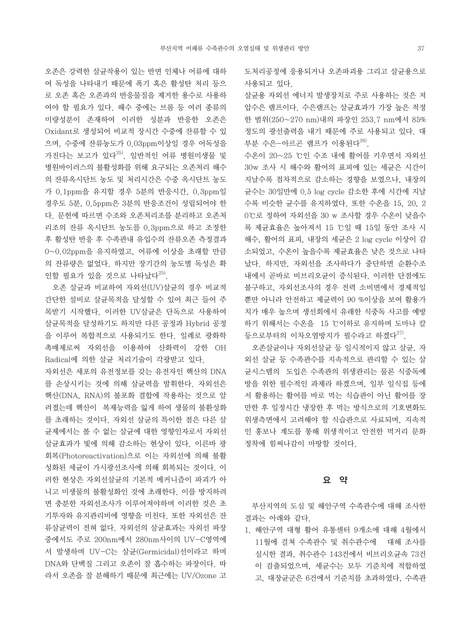오존은 강력한 살균작용이 있는 반면 인체나 어류에 대하 여 독성을 나타내기 때문에 폭기 혹은 활성탄 처리 등으 로 오존 혹은 오존과의 반응물질을 제거한 용수로 사용하 여야 할 필요가 있다. 해수 중에는 브롬 등 여러 종류의 미량성분이 존재하여 이러한 성분과 반응한 오존은 Oxidant로 생성되어 비교적 장시간 수중에 잔류할 수 있 으며, 수중에 잔류농도가 0.03ppm이상일 경우 어독성을 가진다는 보고가 있다<sup>25)</sup>. 일반적인 어류 병원미생물 및 병원바이러스의 불활성화를 위해 요구되는 오존처리 해수 의 잔류옥시단트 농도 및 처리시간은 수중 옥시단트 농도 가 0.1ppm을 유지할 경우 5분의 반응시간, 0.3ppm일 경우도 5분, 0.5ppm은 3분의 반응조건이 성립되어야 한 다. 문헌에 따르면 수조와 오존처리조를 분리하고 오존처 리조의 잔류 옥시단트 농도를 0.3ppm으로 하고 조정한 후 활성탄 반응 후 수족관내 유입수의 잔류오존 측정결과 0~0.02ppm을 유지하였고, 어류에 이상을 초래할 만큼 의 잔류량은 없었다. 하지만 장기간의 농도별 독성은 확 인할 필요가 있을 것으로 나타났다 $^{25}$ .

 오존 살균과 비교하여 자외선(UV)살균의 경우 비교적 간단한 설비로 살균목적을 달성할 수 있어 최근 들어 주 목받기 시작했다. 이러한 UV살균은 단독으로 사용하여 살균목적을 달성하기도 하지만 다른 공정과 Hybrid 공정 을 이루어 복합적으로 사용되기도 한다. 일례로 광화학 촉매제로써 자외선을 이용하여 산화력이 강한 OH Radical에 의한 살균 처리기술이 각광받고 있다.

자외선은 세포의 유전정보를 갖는 유전자인 핵산의 DNA 를 손상시키는 것에 의해 살균력을 발휘한다. 자외선은 핵산(DNA, RNA)의 불포화 결합에 작용하는 것으로 알 려졌는데 핵산이 복제능력을 잃게 하여 생물의 불환성화 를 초래하는 것이다. 자외선 살균의 특이한 점은 다른 살 균제에서는 볼 수 없는 살균에 대한 영향인자로서 자외선 살균효과가 빛에 의해 감소하는 현상이 있다. 이른바 광 회복(Photoreactivation)으로 이는 자외선에 의해 불활 성화된 세균이 가시광선조사에 의해 회복되는 것이다. 이 러한 현상은 자외선살균의 기본적 메커니즘이 파괴가 아 니고 미생물의 불활성화인 것에 초래한다. 이를 방지하려 면 충분한 자외선조사가 이루어져야하며 이러한 것은 초 기투자와 유지관리비에 영향을 미친다. 또한 자외선은 잔 류살균력이 전혀 없다. 자외선의 살균효과는 자외선 파장 중에서도 주로 200nm에서 280nm사이의 UV-C영역에 서 발생하며 UV-C는 살균(Germicidal)선이라고 하며 DNA와 단백질 그리고 오존이 잘 흡수하는 파장이다. 따 라서 오존을 잘 분해하기 때문에 최근에는 UV/Ozone 고

도처리공정에 응용되거나 오존파괴용 그리고 살균용으로 사용되고 있다.

살균용 자외선 에너지 발생장치로 주로 사용하는 것은 저 압수은 램프이다. 수은램프는 살균효과가 가장 높은 적정 한 범위(250~270 nm)내의 파장인 253.7 nm에서 85% 정도의 광선출력을 내기 때문에 주로 사용되고 있다. 대 부분 수은-아르곤 램프가 이용된다 $^{26}$ .

수온이 20~25 ℃인 수조 내에 활어를 키우면서 자외선 30w 조사 시 해수와 활어의 표피에 있는 세균은 시간이 지날수록 점차적으로 감소하는 경향을 보였으나, 내장의 균수는 30일만에 0.5 log cycle 감소한 후에 시간에 지날 수록 비슷한 균수를 유지하였다. 또한 수온을 15, 20, 2 0℃로 정하여 자외선을 30 w 조사할 경우 수온이 낮을수 록 제균효율은 높아져서 15 ℃일 때 15일 동안 조사 시 해수, 활어의 표피, 내장의 세균은 2 log cycle 이상이 감 소되었고, 수온이 높을수록 제균효율은 낮은 것으로 나타 났다. 하지만, 자외선을 조사하다가 중단하면 순환수조 내에서 곧바로 비브리오균이 증식된다. 이러한 단점에도 불구하고, 자외선조사의 경우 전력 소비면에서 경제적일 뿐만 아니라 안전하고 제균력이 90 %이상을 보여 활용가 치가 매우 높으며 생선회에서 유래한 식중독 사고를 예방 하기 위해서는 수온을 15 ℃이하로 유지하며 도마나 칼 등으로부터의 이차오염방지가 필수라고 하겠다 $^{27)}$ .

 오존살균이나 자외선살균 등 일시적이지 않고 살균, 자 외선 살균 등 수족관수를 지속적으로 관리할 수 있는 살 균시스템의 도입은 수족관의 위생관리는 물론 식중독예 방을 위한 필수적인 과제라 하겠으며, 일부 일식집 등에 서 활용하는 활어를 바로 먹는 식습관이 아닌 활어를 장 만한 후 일정시간 냉장한 후 먹는 방식으로의 기호변화도 위생측면에서 고려해야 할 식습관으로 사료되며, 지속적 인 홍보나 계도를 통해 위생적이고 안전한 먹거리 문화 정착에 힘써나감이 마땅할 것이다.

### 요 약

 부산지역의 도심 및 해안구역 수족관수에 대해 조사한 결과는 아래와 같다.

1. 해안구역 대형 활어 유통센터 9개소에 대해 4월에서 11월에 걸쳐 수족관수 및 취수관수에 대해 조사를 실시한 결과, 취수관수 143건에서 비브리오균속 73건 이 검출되었으며, 세균수는 모두 기준치에 적합하였 고, 대장균군은 6건에서 기준치를 초과하였다, 수족관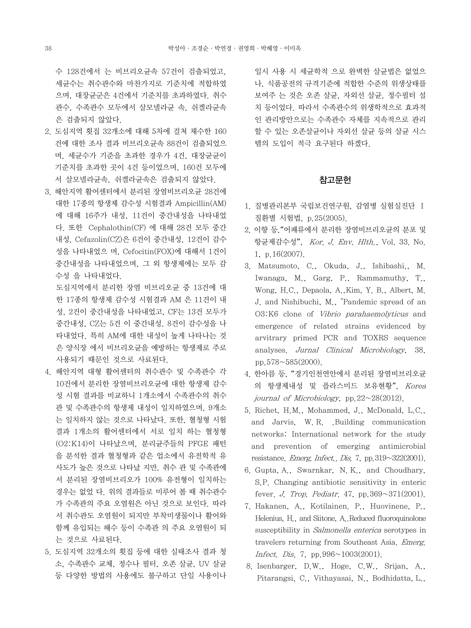수 128건에서 는 비브리오균속 57건이 검출되었고, 세균수는 취수관수와 마찬가지로 기준치에 적합하였 으며, 대장균군은 4건에서 기준치를 초과하였다. 취수 관수, 수족관수 모두에서 살모넬라균 속, 쉬겔라균속 은 검출되지 않았다.

- 2. 도심지역 횟집 32개소에 대해 5차에 걸쳐 채수한 160 건에 대한 조사 결과 비브리오균속 88건이 검출되었으 며, 세균수가 기준을 초과한 경우가 4건, 대장균균이 기준치를 초과한 곳이 4건 등이었으며, 160건 모두에 서 살모넬라균속, 쉬겔라균속은 검출되지 않았다.
- 3. 해안지역 활어센터에서 분리된 장염비브리오균 28건에 대한 17종의 항생제 감수성 시험결과 Ampicillin(AM) 에 대해 16주가 내성, 11건이 중간내성을 나타내었 다. 또한 Cephalothin(CF) 에 대해 28건 모두 중간 내성, Cefazolin(CZ)은 6건이 중간내성, 12건이 감수 성을 나타내었으 며, Cefocitin(FOX)에 대해서 1건이 중간내성을 나타내었으며, 그 외 항생제에는 모두 감 수성 을 나타내었다.

 도심지역에서 분리한 장염 비브리오균 중 13건에 대 한 17종의 항생제 감수성 시험결과 AM 은 11건이 내 성, 2건이 중간내성을 나타내었고, CF는 13건 모두가 중간내성, CZ는 5건 이 중간내성, 8건이 감수성을 나 타내었다. 특히 AM에 대한 내성이 높게 나타나는 것 은 양식장 에서 비브리오균을 예방하는 항생제로 주로 사용되기 때문인 것으로 사료된다.

- 4. 해안지역 대형 활어센터의 취수관수 및 수족관수 각 10건에서 분리한 장염비브리오균에 대한 항생제 감수 성 시험 결과를 비교하니 1개소에서 수족관수의 취수 관 및 수족관수의 항생제 내성이 일치하였으며, 9개소 는 일치하지 않는 것으로 나타났다. 또한, 혈청형 시험 결과 1개소의 활어센터에서 서로 일치 하는 혈청형 (O2:K14)이 나타났으며, 분리균주들의 PFGE 패턴 을 분석한 결과 혈청형과 같은 업소에서 유전학적 유 사도가 높은 것으로 나타났 지만, 취수 관 및 수족관에 서 분리된 장염비브리오가 100% 유전형이 일치하는 경우는 없었 다. 위의 결과들로 미루어 볼 때 취수관수 가 수족관의 주요 오염원은 아닌 것으로 보인다. 따라 서 취수관도 오염원이 되지만 부착미생물이나 활어와 함께 유입되는 해수 등이 수족관 의 주요 오염원이 되 는 것으로 사료된다.
- 5. 도심지역 32개소의 횟집 등에 대한 실태조사 결과 청 소, 수족관수 교체, 정수나 필터, 오존 살균, UV 살균 등 다양한 방법의 사용에도 불구하고 단일 사용이나

일시 사용 시 세균학적 으로 완벽한 살균법은 없었으 나, 식품공전의 규격기준에 적합한 수준의 위생상태를 보여주 는 것은 오존 살균, 자외선 살균, 정수필터 설 치 등이었다. 따라서 수족관수의 위생학적으로 효과적 인 관리방안으로는 수족관수 자체를 지속적으로 관리 할 수 있는 오존살균이나 자외선 살균 등의 살균 시스 템의 도입이 적극 요구된다 하겠다.

# 참고문헌

- 1. 질병관리본부 국립보건연구원, 감염병 실험실진단 Ⅰ 질환별 시험법, p.25(2005).
- 2. 이향 등,"어패류에서 분리한 장염비브리오균의 분포 및 항균제감수성", Kor. J. Env. Hlth., Vol. 33. No. 1, p.16(2007).
- 3. Matsumoto, C., Okuda, J., Ishibashi,, M. Iwanaga, M., Garg, P., Rammamuthy, T., Wong, H.C., Depaola, A.,Kim, Y. B., Albert, M. J. and Nishibuchi, M., "Pandemic spread of an O3:K6 clone of Vibrio parahaemolyticus and emergence of related strains evidenced by arvitrary primed PCR and TOXRS sequence analyses. Jurnal Clinical Microbiology, 38, pp.  $578 \sim 585(2000)$ .
- 4. 한아름 등, "경기인천연안에서 분리된 장염비브리오균 의 항생제내성 및 플라스미드 보유현황", Korea journal of Microbiology, pp.  $22 \sim 28(2012)$ .
- 5. Richet, H.M., Mohammed, J., McDonald, L.C., and Jarvis, W. R. .Building communication networks: International network for the study and prevention of emerging antimicrobial resistance. Emerg. Infect.. Dis. 7, pp.319~322(2001).
- 6. Gupta, A., Swarnkar, N. K., and Choudhary, S.P. Changing antibiotic sensitivity in enteric fever. *J. Trop. Pediatr.* 47, pp.  $369 \sim 371(2001)$ .
- 7. Hakanen, A., Kotilainen. P., Huovinene, P., Helenius, H., and Siitone, A..Reduced fluoroquinolone susceptibility in Salmonella enterica serotypes in travelers returning from Southeast Asia. Emerg. Infect. Dis. 7, pp.996~1003(2001).
- 8. Isenbarger, D.W., Hoge, C.W., Srijan, A., Pitarangsi, C., Vithayasai, N., Bodhidatta, L.,